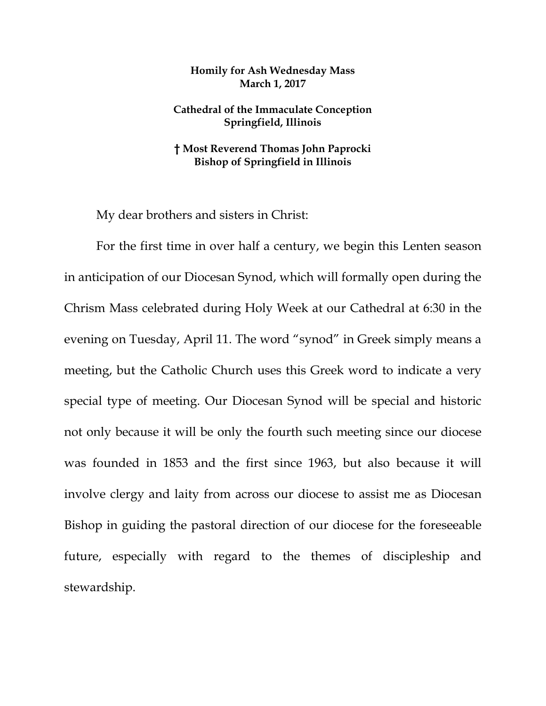## **Homily for Ash Wednesday Mass March 1, 2017**

## **Cathedral of the Immaculate Conception Springfield, Illinois**

## **† Most Reverend Thomas John Paprocki Bishop of Springfield in Illinois**

My dear brothers and sisters in Christ:

For the first time in over half a century, we begin this Lenten season in anticipation of our Diocesan Synod, which will formally open during the Chrism Mass celebrated during Holy Week at our Cathedral at 6:30 in the evening on Tuesday, April 11. The word "synod" in Greek simply means a meeting, but the Catholic Church uses this Greek word to indicate a very special type of meeting. Our Diocesan Synod will be special and historic not only because it will be only the fourth such meeting since our diocese was founded in 1853 and the first since 1963, but also because it will involve clergy and laity from across our diocese to assist me as Diocesan Bishop in guiding the pastoral direction of our diocese for the foreseeable future, especially with regard to the themes of discipleship and stewardship.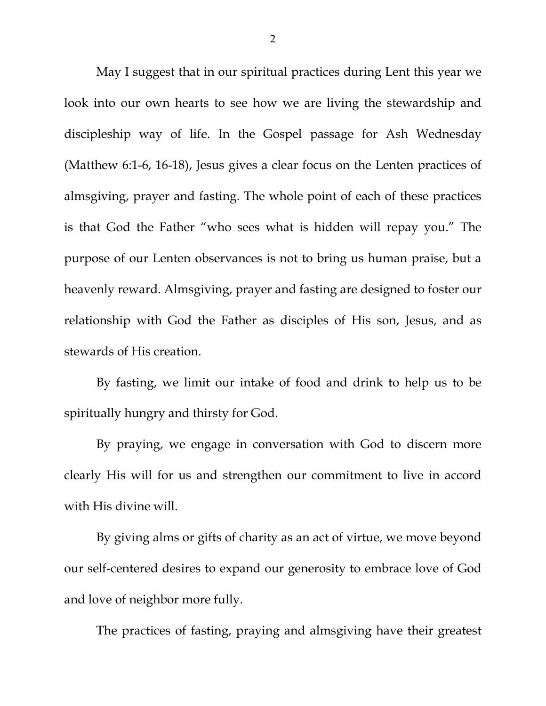May I suggest that in our spiritual practices during Lent this year we look into our own hearts to see how we are living the stewardship and discipleship way of life. In the Gospel passage for Ash Wednesday (Matthew 6:1-6, 16-18), Jesus gives a clear focus on the Lenten practices of almsgiving, prayer and fasting. The whole point of each of these practices is that God the Father "who sees what is hidden will repay you." The purpose of our Lenten observances is not to bring us human praise, but a heavenly reward. Almsgiving, prayer and fasting are designed to foster our relationship with God the Father as disciples of His son, Jesus, and as stewards of His creation.

By fasting, we limit our intake of food and drink to help us to be spiritually hungry and thirsty for God.

By praying, we engage in conversation with God to discern more clearly His will for us and strengthen our commitment to live in accord with His divine will.

By giving alms or gifts of charity as an act of virtue, we move beyond our self-centered desires to expand our generosity to embrace love of God and love of neighbor more fully.

The practices of fasting, praying and almsgiving have their greatest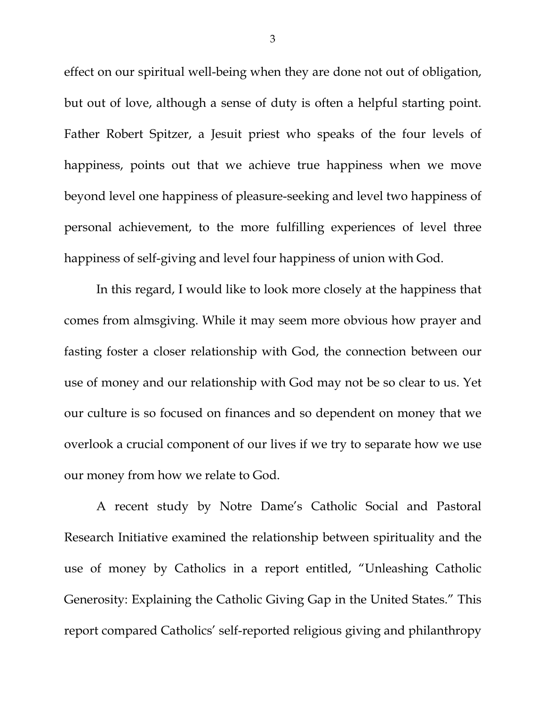effect on our spiritual well-being when they are done not out of obligation, but out of love, although a sense of duty is often a helpful starting point. Father Robert Spitzer, a Jesuit priest who speaks of the four levels of happiness, points out that we achieve true happiness when we move beyond level one happiness of pleasure-seeking and level two happiness of personal achievement, to the more fulfilling experiences of level three happiness of self-giving and level four happiness of union with God.

In this regard, I would like to look more closely at the happiness that comes from almsgiving. While it may seem more obvious how prayer and fasting foster a closer relationship with God, the connection between our use of money and our relationship with God may not be so clear to us. Yet our culture is so focused on finances and so dependent on money that we overlook a crucial component of our lives if we try to separate how we use our money from how we relate to God.

A recent study by Notre Dame's Catholic Social and Pastoral Research Initiative examined the relationship between spirituality and the use of money by Catholics in a report entitled, "Unleashing Catholic Generosity: Explaining the Catholic Giving Gap in the United States." This report compared Catholics' self-reported religious giving and philanthropy

3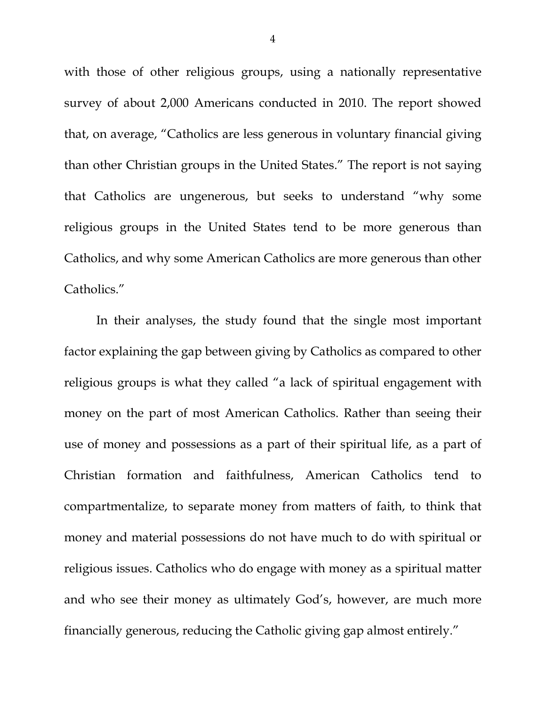with those of other religious groups, using a nationally representative survey of about 2,000 Americans conducted in 2010. The report showed that, on average, "Catholics are less generous in voluntary financial giving than other Christian groups in the United States." The report is not saying that Catholics are ungenerous, but seeks to understand "why some religious groups in the United States tend to be more generous than Catholics, and why some American Catholics are more generous than other Catholics."

In their analyses, the study found that the single most important factor explaining the gap between giving by Catholics as compared to other religious groups is what they called "a lack of spiritual engagement with money on the part of most American Catholics. Rather than seeing their use of money and possessions as a part of their spiritual life, as a part of Christian formation and faithfulness, American Catholics tend to compartmentalize, to separate money from matters of faith, to think that money and material possessions do not have much to do with spiritual or religious issues. Catholics who do engage with money as a spiritual matter and who see their money as ultimately God's, however, are much more financially generous, reducing the Catholic giving gap almost entirely."